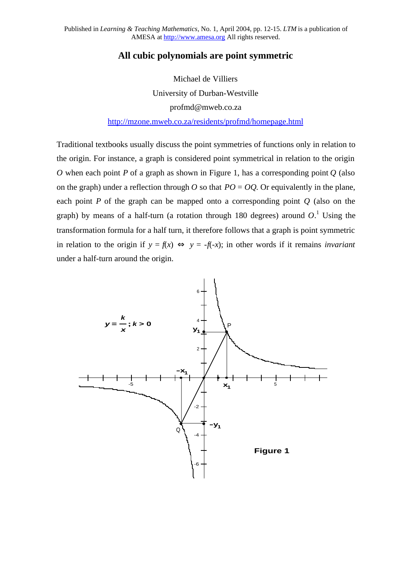## **All cubic polynomials are point symmetric**

Michael de Villiers University of Durban-Westville [profmd@mweb.co.za](mailto:profmd@mweb.co.za)

<http://mzone.mweb.co.za/residents/profmd/homepage.html>

Traditional textbooks usually discuss the point symmetries of functions only in relation to the origin. For instance, a graph is considered point symmetrical in relation to the origin *O* when each point *P* of a graph as shown in Figure 1, has a corresponding point *O* (also on the graph) under a reflection through *O* so that  $PO = OO$ . Or equivalently in the plane, each point *P* of the graph can be mapped onto a corresponding point *Q* (also on the graph) by means of a half-turn (a rotation through 180 degrees) around  $O$ .<sup>1</sup> Using the transformation formula for a half turn, it therefore follows that a graph is point symmetric in relation to the origin if  $y = f(x) \Leftrightarrow y = -f(-x)$ ; in other words if it remains *invariant* under a half-turn around the origin.

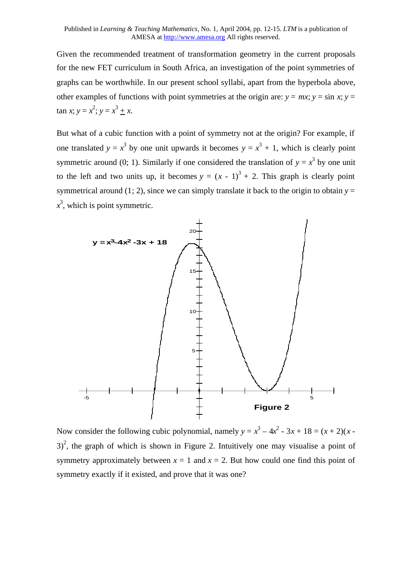Given the recommended treatment of transformation geometry in the current proposals for the new FET curriculum in South Africa, an investigation of the point symmetries of graphs can be worthwhile. In our present school syllabi, apart from the hyperbola above, other examples of functions with point symmetries at the origin are:  $y = mx$ ;  $y = \sin x$ ;  $y =$  $\tan x; y = x^2; y = x^3 + x.$ 

But what of a cubic function with a point of symmetry not at the origin? For example, if one translated  $y = x^3$  by one unit upwards it becomes  $y = x^3 + 1$ , which is clearly point symmetric around (0; 1). Similarly if one considered the translation of  $y = x<sup>3</sup>$  by one unit to the left and two units up, it becomes  $y = (x - 1)^3 + 2$ . This graph is clearly point symmetrical around (1; 2), since we can simply translate it back to the origin to obtain  $y =$  $x^3$ , which is point symmetric.



Now consider the following cubic polynomial, namely  $y = x^3 - 4x^2 - 3x + 18 = (x + 2)(x - 4)$  $3)^2$ , the graph of which is shown in Figure 2. Intuitively one may visualise a point of symmetry approximately between  $x = 1$  and  $x = 2$ . But how could one find this point of symmetry exactly if it existed, and prove that it was one?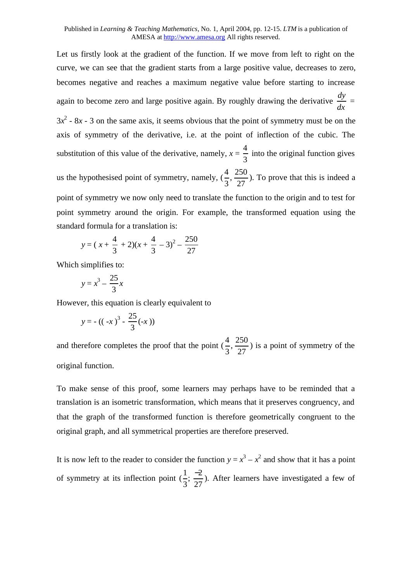Let us firstly look at the gradient of the function. If we move from left to right on the curve, we can see that the gradient starts from a large positive value, decreases to zero, becomes negative and reaches a maximum negative value before starting to increase again to become zero and large positive again. By roughly drawing the derivative *dy dx* =  $3x^2$  -  $8x$  - 3 on the same axis, it seems obvious that the point of symmetry must be on the axis of symmetry of the derivative, i.e. at the point of inflection of the cubic. The substitution of this value of the derivative, namely,  $x =$ 4 3 into the original function gives us the hypothesised point of symmetry, namely,  $(\frac{4}{3})$ 3 , 250 27 ). To prove that this is indeed a point of symmetry we now only need to translate the function to the origin and to test for point symmetry around the origin. For example, the transformed equation using the standard formula for a translation is:  $250$ 

$$
y = (x + \frac{4}{3} + 2)(x + \frac{4}{3} - 3)^2 - \frac{250}{27}
$$

Which simplifies to:

$$
y = x^3 - \frac{25}{3}x
$$

However, this equation is clearly equivalent to

$$
y = -((-x)^3 - \frac{25}{3}(-x))
$$

and therefore completes the proof that the point  $(\frac{4}{3})$ 3 , 250 27 ) is a point of symmetry of the original function.

To make sense of this proof, some learners may perhaps have to be reminded that a translation is an isometric transformation, which means that it preserves congruency, and that the graph of the transformed function is therefore geometrically congruent to the original graph, and all symmetrical properties are therefore preserved.

It is now left to the reader to consider the function  $y = x^3 - x^2$  and show that it has a point of symmetry at its inflection point  $\left(\frac{1}{2}\right)$ 3  $\frac{-2}{25}$ 27 ). After learners have investigated a few of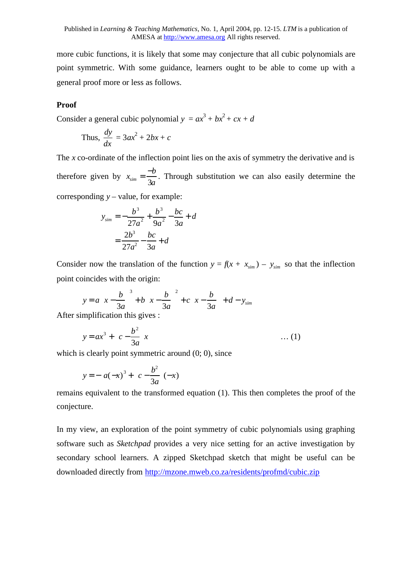more cubic functions, it is likely that some may conjecture that all cubic polynomials are point symmetric. With some guidance, learners ought to be able to come up with a general proof more or less as follows.

## **Proof**

Consider a general cubic polynomial  $y = ax^3 + bx^2 + cx + d$ 

Thus, 
$$
\frac{dy}{dx} = 3ax^2 + 2bx + c
$$

The *x* co-ordinate of the inflection point lies on the axis of symmetry the derivative and is therefore given by  $x_{sim} = \frac{-b}{2a}$ 3*a* . Through substitution we can also easily determine the

corresponding *y* – value, for example:

$$
y_{\text{sim}} = -\frac{b^3}{27a^2} + \frac{b^3}{9a^2} - \frac{bc}{3a} + d
$$

$$
= \frac{2b^3}{27a^2} - \frac{bc}{3a} + d
$$

Consider now the translation of the function  $y = f(x + x_{sim}) - y_{sim}$  so that the inflection point coincides with the origin:

$$
y = a\left(x - \frac{b}{3a}\right)^3 + b\left(x - \frac{b}{3a}\right)^2 + c\left(x - \frac{b}{3a}\right) + d - y_{sim}
$$

After simplification this gives :

$$
y = ax^3 + \left(c - \frac{b^2}{3a}\right)x \qquad \qquad \dots (1)
$$

which is clearly point symmetric around  $(0, 0)$ , since

$$
y = -\left[a(-x)^3 + \left(c - \frac{b^2}{3a}\right)(-x)\right]
$$

remains equivalent to the transformed equation (1). This then completes the proof of the conjecture.

In my view, an exploration of the point symmetry of cubic polynomials using graphing software such as *Sketchpad* provides a very nice setting for an active investigation by secondary school learners. A zipped Sketchpad sketch that might be useful can be downloaded directly from <http://mzone.mweb.co.za/residents/profmd/cubic.zip>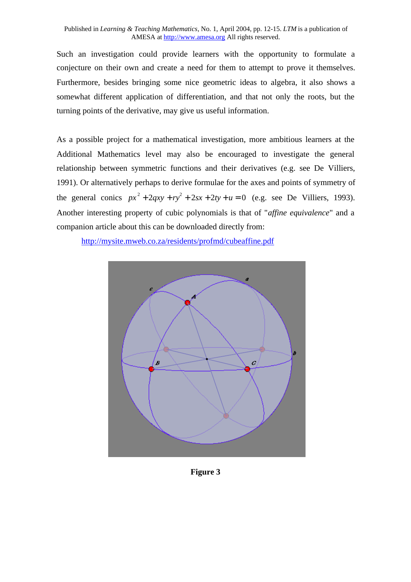Such an investigation could provide learners with the opportunity to formulate a conjecture on their own and create a need for them to attempt to prove it themselves. Furthermore, besides bringing some nice geometric ideas to algebra, it also shows a somewhat different application of differentiation, and that not only the roots, but the turning points of the derivative, may give us useful information.

As a possible project for a mathematical investigation, more ambitious learners at the Additional Mathematics level may also be encouraged to investigate the general relationship between symmetric functions and their derivatives (e.g. see De Villiers, 1991). Or alternatively perhaps to derive formulae for the axes and points of symmetry of the general conics  $px^2 + 2qxy + ry^2 + 2sx + 2ty + u = 0$  (e.g. see De Villiers, 1993). Another interesting property of cubic polynomials is that of "*affine equivalence*" and a companion article about this can be downloaded directly from:

<http://mysite.mweb.co.za/residents/profmd/cubeaffine.pdf>



**Figure 3**